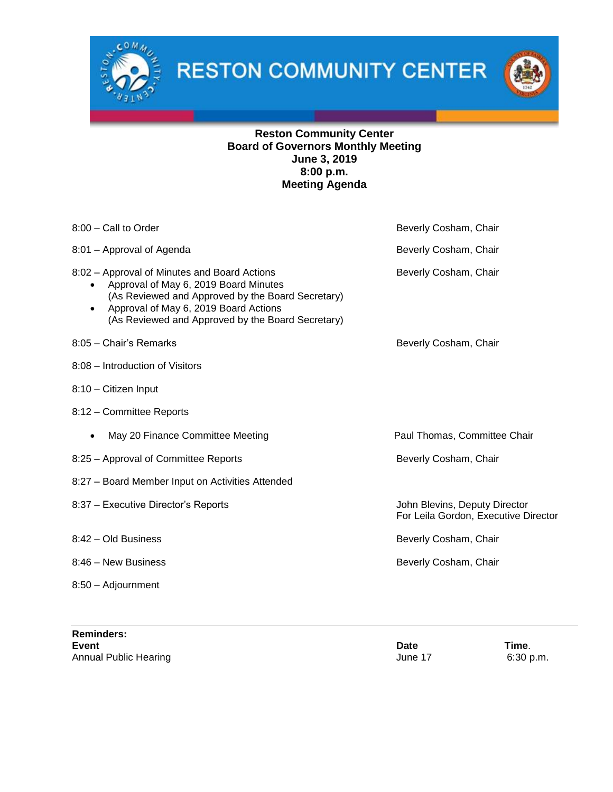

**RESTON COMMUNITY CENTER** 



## **Reston Community Center Board of Governors Monthly Meeting June 3, 2019 8:00 p.m. Meeting Agenda**

| 8:00 - Call to Order                                                                                                                                                                                                                                               | Beverly Cosham, Chair                                                 |
|--------------------------------------------------------------------------------------------------------------------------------------------------------------------------------------------------------------------------------------------------------------------|-----------------------------------------------------------------------|
| 8:01 - Approval of Agenda                                                                                                                                                                                                                                          | Beverly Cosham, Chair                                                 |
| 8:02 - Approval of Minutes and Board Actions<br>Approval of May 6, 2019 Board Minutes<br>$\bullet$<br>(As Reviewed and Approved by the Board Secretary)<br>Approval of May 6, 2019 Board Actions<br>$\bullet$<br>(As Reviewed and Approved by the Board Secretary) | Beverly Cosham, Chair                                                 |
| 8:05 - Chair's Remarks                                                                                                                                                                                                                                             | Beverly Cosham, Chair                                                 |
| 8:08 - Introduction of Visitors                                                                                                                                                                                                                                    |                                                                       |
| 8:10 - Citizen Input                                                                                                                                                                                                                                               |                                                                       |
| 8:12 - Committee Reports                                                                                                                                                                                                                                           |                                                                       |
| May 20 Finance Committee Meeting<br>$\bullet$                                                                                                                                                                                                                      | Paul Thomas, Committee Chair                                          |
| 8:25 - Approval of Committee Reports                                                                                                                                                                                                                               | Beverly Cosham, Chair                                                 |
| 8:27 - Board Member Input on Activities Attended                                                                                                                                                                                                                   |                                                                       |
| 8:37 - Executive Director's Reports                                                                                                                                                                                                                                | John Blevins, Deputy Director<br>For Leila Gordon, Executive Director |
| 8:42 - Old Business                                                                                                                                                                                                                                                | Beverly Cosham, Chair                                                 |
| 8:46 - New Business                                                                                                                                                                                                                                                | Beverly Cosham, Chair                                                 |
| 8:50 - Adjournment                                                                                                                                                                                                                                                 |                                                                       |

**Reminders: Event Date Time**. Annual Public Hearing **Annual Public Hearing June 17** 6:30 p.m.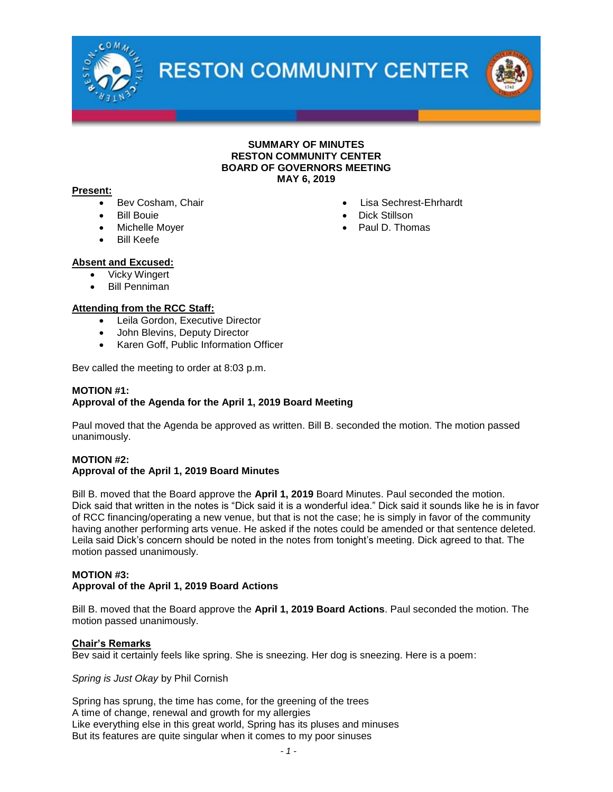

**RESTON COMMUNITY CENTER** 

## **SUMMARY OF MINUTES RESTON COMMUNITY CENTER BOARD OF GOVERNORS MEETING MAY 6, 2019**

#### **Present:**

- Bev Cosham, Chair
- Bill Bouie
- Michelle Moyer
- Bill Keefe
- Lisa Sechrest-Ehrhardt
- Dick Stillson
- Paul D. Thomas

- **Absent and Excused:**
	- Vicky Wingert
	- Bill Penniman

## **Attending from the RCC Staff:**

- Leila Gordon, Executive Director
- John Blevins, Deputy Director
- Karen Goff, Public Information Officer

Bev called the meeting to order at 8:03 p.m.

#### **MOTION #1: Approval of the Agenda for the April 1, 2019 Board Meeting**

Paul moved that the Agenda be approved as written. Bill B. seconded the motion. The motion passed unanimously.

## **MOTION #2: Approval of the April 1, 2019 Board Minutes**

Bill B. moved that the Board approve the **April 1, 2019** Board Minutes. Paul seconded the motion. Dick said that written in the notes is "Dick said it is a wonderful idea." Dick said it sounds like he is in favor of RCC financing/operating a new venue, but that is not the case; he is simply in favor of the community having another performing arts venue. He asked if the notes could be amended or that sentence deleted. Leila said Dick's concern should be noted in the notes from tonight's meeting. Dick agreed to that. The motion passed unanimously.

#### **MOTION #3: Approval of the April 1, 2019 Board Actions**

Bill B. moved that the Board approve the **April 1, 2019 Board Actions**. Paul seconded the motion. The motion passed unanimously.

## **Chair's Remarks**

Bev said it certainly feels like spring. She is sneezing. Her dog is sneezing. Here is a poem:

#### *Spring is Just Okay* by Phil Cornish

Spring has sprung, the time has come, for the greening of the trees A time of change, renewal and growth for my allergies Like everything else in this great world, Spring has its pluses and minuses But its features are quite singular when it comes to my poor sinuses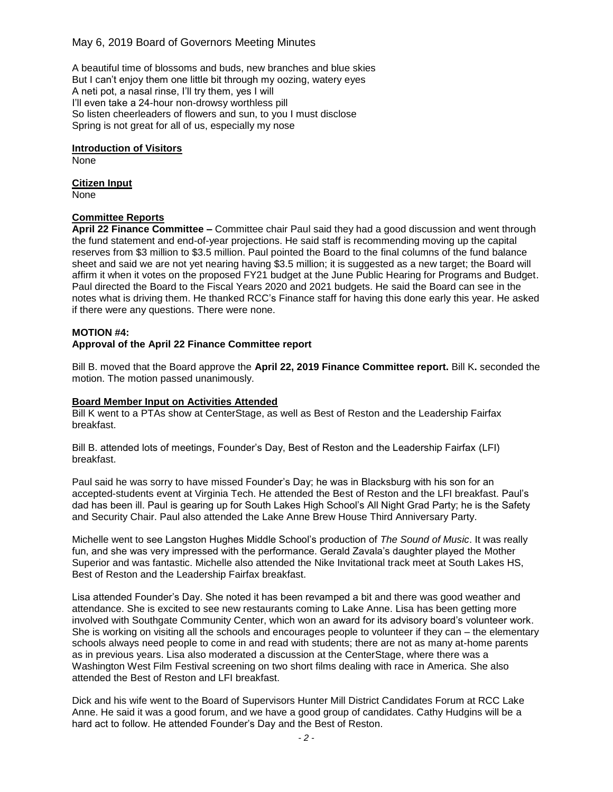## May 6, 2019 Board of Governors Meeting Minutes

A beautiful time of blossoms and buds, new branches and blue skies But I can't enjoy them one little bit through my oozing, watery eyes A neti pot, a nasal rinse, I'll try them, yes I will I'll even take a 24-hour non-drowsy worthless pill So listen cheerleaders of flowers and sun, to you I must disclose Spring is not great for all of us, especially my nose

**Introduction of Visitors** None

**Citizen Input** None

## **Committee Reports**

**April 22 Finance Committee –** Committee chair Paul said they had a good discussion and went through the fund statement and end-of-year projections. He said staff is recommending moving up the capital reserves from \$3 million to \$3.5 million. Paul pointed the Board to the final columns of the fund balance sheet and said we are not yet nearing having \$3.5 million; it is suggested as a new target; the Board will affirm it when it votes on the proposed FY21 budget at the June Public Hearing for Programs and Budget. Paul directed the Board to the Fiscal Years 2020 and 2021 budgets. He said the Board can see in the notes what is driving them. He thanked RCC's Finance staff for having this done early this year. He asked if there were any questions. There were none.

#### **MOTION #4:**

## **Approval of the April 22 Finance Committee report**

Bill B. moved that the Board approve the **April 22, 2019 Finance Committee report.** Bill K**.** seconded the motion. The motion passed unanimously.

### **Board Member Input on Activities Attended**

Bill K went to a PTAs show at CenterStage, as well as Best of Reston and the Leadership Fairfax breakfast.

Bill B. attended lots of meetings, Founder's Day, Best of Reston and the Leadership Fairfax (LFI) breakfast.

Paul said he was sorry to have missed Founder's Day; he was in Blacksburg with his son for an accepted-students event at Virginia Tech. He attended the Best of Reston and the LFI breakfast. Paul's dad has been ill. Paul is gearing up for South Lakes High School's All Night Grad Party; he is the Safety and Security Chair. Paul also attended the Lake Anne Brew House Third Anniversary Party.

Michelle went to see Langston Hughes Middle School's production of *The Sound of Music*. It was really fun, and she was very impressed with the performance. Gerald Zavala's daughter played the Mother Superior and was fantastic. Michelle also attended the Nike Invitational track meet at South Lakes HS, Best of Reston and the Leadership Fairfax breakfast.

Lisa attended Founder's Day. She noted it has been revamped a bit and there was good weather and attendance. She is excited to see new restaurants coming to Lake Anne. Lisa has been getting more involved with Southgate Community Center, which won an award for its advisory board's volunteer work. She is working on visiting all the schools and encourages people to volunteer if they can – the elementary schools always need people to come in and read with students; there are not as many at-home parents as in previous years. Lisa also moderated a discussion at the CenterStage, where there was a Washington West Film Festival screening on two short films dealing with race in America. She also attended the Best of Reston and LFI breakfast.

Dick and his wife went to the Board of Supervisors Hunter Mill District Candidates Forum at RCC Lake Anne. He said it was a good forum, and we have a good group of candidates. Cathy Hudgins will be a hard act to follow. He attended Founder's Day and the Best of Reston.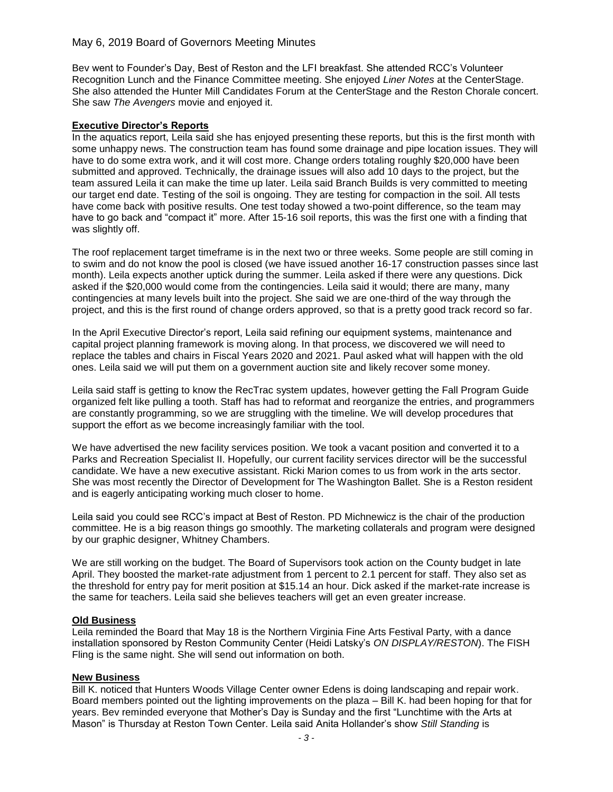## May 6, 2019 Board of Governors Meeting Minutes

Bev went to Founder's Day, Best of Reston and the LFI breakfast. She attended RCC's Volunteer Recognition Lunch and the Finance Committee meeting. She enjoyed *Liner Notes* at the CenterStage. She also attended the Hunter Mill Candidates Forum at the CenterStage and the Reston Chorale concert. She saw *The Avengers* movie and enjoyed it.

#### **Executive Director's Reports**

In the aquatics report, Leila said she has enjoyed presenting these reports, but this is the first month with some unhappy news. The construction team has found some drainage and pipe location issues. They will have to do some extra work, and it will cost more. Change orders totaling roughly \$20,000 have been submitted and approved. Technically, the drainage issues will also add 10 days to the project, but the team assured Leila it can make the time up later. Leila said Branch Builds is very committed to meeting our target end date. Testing of the soil is ongoing. They are testing for compaction in the soil. All tests have come back with positive results. One test today showed a two-point difference, so the team may have to go back and "compact it" more. After 15-16 soil reports, this was the first one with a finding that was slightly off.

The roof replacement target timeframe is in the next two or three weeks. Some people are still coming in to swim and do not know the pool is closed (we have issued another 16-17 construction passes since last month). Leila expects another uptick during the summer. Leila asked if there were any questions. Dick asked if the \$20,000 would come from the contingencies. Leila said it would; there are many, many contingencies at many levels built into the project. She said we are one-third of the way through the project, and this is the first round of change orders approved, so that is a pretty good track record so far.

In the April Executive Director's report, Leila said refining our equipment systems, maintenance and capital project planning framework is moving along. In that process, we discovered we will need to replace the tables and chairs in Fiscal Years 2020 and 2021. Paul asked what will happen with the old ones. Leila said we will put them on a government auction site and likely recover some money.

Leila said staff is getting to know the RecTrac system updates, however getting the Fall Program Guide organized felt like pulling a tooth. Staff has had to reformat and reorganize the entries, and programmers are constantly programming, so we are struggling with the timeline. We will develop procedures that support the effort as we become increasingly familiar with the tool.

We have advertised the new facility services position. We took a vacant position and converted it to a Parks and Recreation Specialist II. Hopefully, our current facility services director will be the successful candidate. We have a new executive assistant. Ricki Marion comes to us from work in the arts sector. She was most recently the Director of Development for The Washington Ballet. She is a Reston resident and is eagerly anticipating working much closer to home.

Leila said you could see RCC's impact at Best of Reston. PD Michnewicz is the chair of the production committee. He is a big reason things go smoothly. The marketing collaterals and program were designed by our graphic designer, Whitney Chambers.

We are still working on the budget. The Board of Supervisors took action on the County budget in late April. They boosted the market-rate adjustment from 1 percent to 2.1 percent for staff. They also set as the threshold for entry pay for merit position at \$15.14 an hour. Dick asked if the market-rate increase is the same for teachers. Leila said she believes teachers will get an even greater increase.

#### **Old Business**

Leila reminded the Board that May 18 is the Northern Virginia Fine Arts Festival Party, with a dance installation sponsored by Reston Community Center (Heidi Latsky's *ON DISPLAY/RESTON*). The FISH Fling is the same night. She will send out information on both.

#### **New Business**

Bill K. noticed that Hunters Woods Village Center owner Edens is doing landscaping and repair work. Board members pointed out the lighting improvements on the plaza – Bill K. had been hoping for that for years. Bev reminded everyone that Mother's Day is Sunday and the first "Lunchtime with the Arts at Mason" is Thursday at Reston Town Center. Leila said Anita Hollander's show *Still Standing* is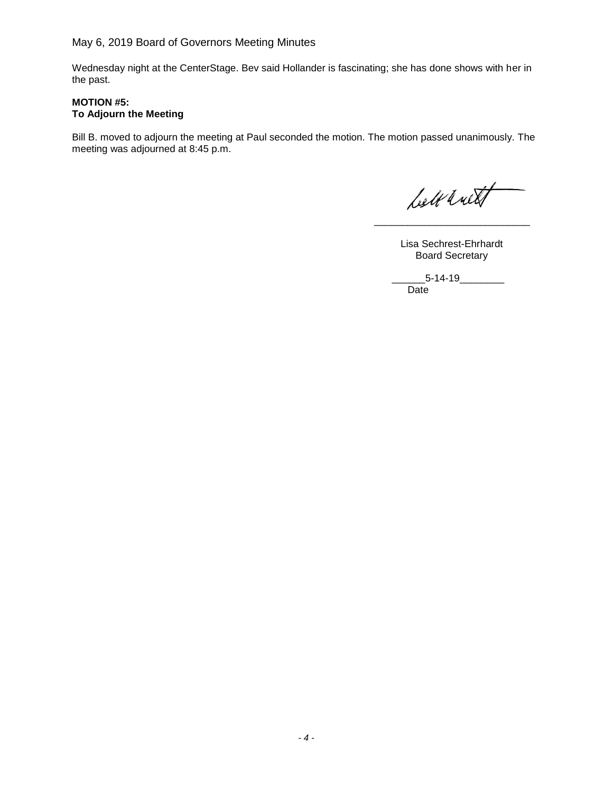Wednesday night at the CenterStage. Bev said Hollander is fascinating; she has done shows with her in the past.

## **MOTION #5: To Adjourn the Meeting**

Bill B. moved to adjourn the meeting at Paul seconded the motion. The motion passed unanimously. The meeting was adjourned at 8:45 p.m.

belt with

 Lisa Sechrest-Ehrhardt Board Secretary

 $\frac{1}{\sqrt{2}}$  ,  $\frac{1}{\sqrt{2}}$  ,  $\frac{1}{\sqrt{2}}$  ,  $\frac{1}{\sqrt{2}}$  ,  $\frac{1}{\sqrt{2}}$  ,  $\frac{1}{\sqrt{2}}$  ,  $\frac{1}{\sqrt{2}}$  ,  $\frac{1}{\sqrt{2}}$  ,  $\frac{1}{\sqrt{2}}$  ,  $\frac{1}{\sqrt{2}}$  ,  $\frac{1}{\sqrt{2}}$  ,  $\frac{1}{\sqrt{2}}$  ,  $\frac{1}{\sqrt{2}}$  ,  $\frac{1}{\sqrt{2}}$  ,  $\frac{1}{\sqrt{2}}$ 

 $-5-14-19$ Date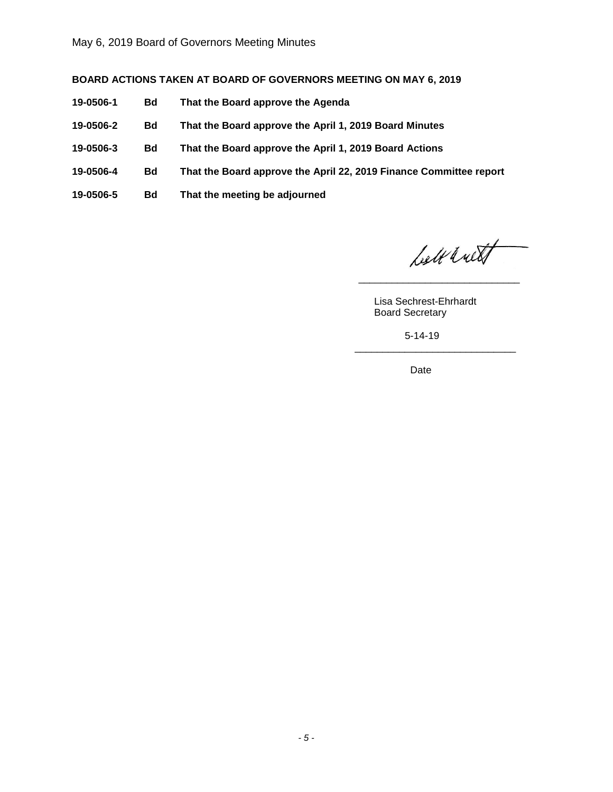## **BOARD ACTIONS TAKEN AT BOARD OF GOVERNORS MEETING ON MAY 6, 2019**

- **19-0506-1 Bd That the Board approve the Agenda**
- **19-0506-2 Bd That the Board approve the April 1, 2019 Board Minutes**
- **19-0506-3 Bd That the Board approve the April 1, 2019 Board Actions**
- **19-0506-4 Bd That the Board approve the April 22, 2019 Finance Committee report**

 $\frac{\alpha}{\alpha}$  , which is a set of the set of the set of the set of the set of the set of the set of the set of the set of the set of the set of the set of the set of the set of the set of the set of the set of the set of the

 $\overline{\phantom{a}}$  , and the state of the state of the state of the state of the state of the state of the state of the state of the state of the state of the state of the state of the state of the state of the state of the stat

**19-0506-5 Bd That the meeting be adjourned**

lett with

 Lisa Sechrest-Ehrhardt Board Secretary

5-14-19

Date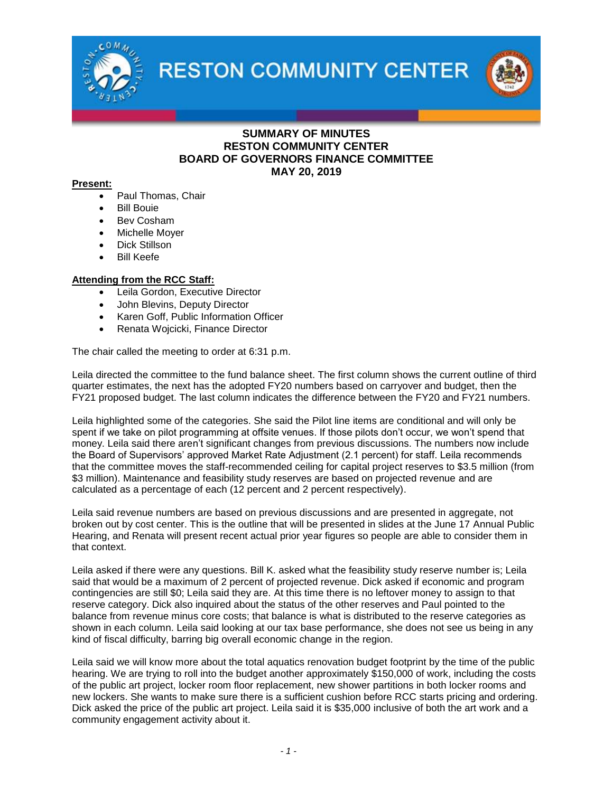

**RESTON COMMUNITY CENTER** 



## **SUMMARY OF MINUTES RESTON COMMUNITY CENTER BOARD OF GOVERNORS FINANCE COMMITTEE MAY 20, 2019**

### **Present:**

- Paul Thomas, Chair
- Bill Bouie
- Bev Cosham
- Michelle Moyer
- Dick Stillson
- Bill Keefe

## **Attending from the RCC Staff:**

- Leila Gordon, Executive Director
- John Blevins, Deputy Director
- Karen Goff, Public Information Officer
- Renata Wojcicki, Finance Director

The chair called the meeting to order at 6:31 p.m.

Leila directed the committee to the fund balance sheet. The first column shows the current outline of third quarter estimates, the next has the adopted FY20 numbers based on carryover and budget, then the FY21 proposed budget. The last column indicates the difference between the FY20 and FY21 numbers.

Leila highlighted some of the categories. She said the Pilot line items are conditional and will only be spent if we take on pilot programming at offsite venues. If those pilots don't occur, we won't spend that money. Leila said there aren't significant changes from previous discussions. The numbers now include the Board of Supervisors' approved Market Rate Adjustment (2.1 percent) for staff. Leila recommends that the committee moves the staff-recommended ceiling for capital project reserves to \$3.5 million (from \$3 million). Maintenance and feasibility study reserves are based on projected revenue and are calculated as a percentage of each (12 percent and 2 percent respectively).

Leila said revenue numbers are based on previous discussions and are presented in aggregate, not broken out by cost center. This is the outline that will be presented in slides at the June 17 Annual Public Hearing, and Renata will present recent actual prior year figures so people are able to consider them in that context.

Leila asked if there were any questions. Bill K. asked what the feasibility study reserve number is; Leila said that would be a maximum of 2 percent of projected revenue. Dick asked if economic and program contingencies are still \$0; Leila said they are. At this time there is no leftover money to assign to that reserve category. Dick also inquired about the status of the other reserves and Paul pointed to the balance from revenue minus core costs; that balance is what is distributed to the reserve categories as shown in each column. Leila said looking at our tax base performance, she does not see us being in any kind of fiscal difficulty, barring big overall economic change in the region.

Leila said we will know more about the total aquatics renovation budget footprint by the time of the public hearing. We are trying to roll into the budget another approximately \$150,000 of work, including the costs of the public art project, locker room floor replacement, new shower partitions in both locker rooms and new lockers. She wants to make sure there is a sufficient cushion before RCC starts pricing and ordering. Dick asked the price of the public art project. Leila said it is \$35,000 inclusive of both the art work and a community engagement activity about it.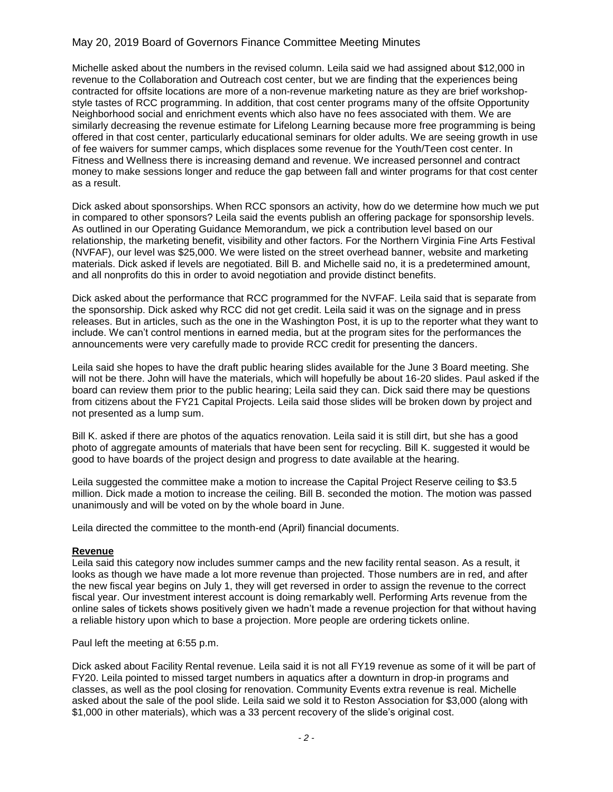# May 20, 2019 Board of Governors Finance Committee Meeting Minutes

Michelle asked about the numbers in the revised column. Leila said we had assigned about \$12,000 in revenue to the Collaboration and Outreach cost center, but we are finding that the experiences being contracted for offsite locations are more of a non-revenue marketing nature as they are brief workshopstyle tastes of RCC programming. In addition, that cost center programs many of the offsite Opportunity Neighborhood social and enrichment events which also have no fees associated with them. We are similarly decreasing the revenue estimate for Lifelong Learning because more free programming is being offered in that cost center, particularly educational seminars for older adults. We are seeing growth in use of fee waivers for summer camps, which displaces some revenue for the Youth/Teen cost center. In Fitness and Wellness there is increasing demand and revenue. We increased personnel and contract money to make sessions longer and reduce the gap between fall and winter programs for that cost center as a result.

Dick asked about sponsorships. When RCC sponsors an activity, how do we determine how much we put in compared to other sponsors? Leila said the events publish an offering package for sponsorship levels. As outlined in our Operating Guidance Memorandum, we pick a contribution level based on our relationship, the marketing benefit, visibility and other factors. For the Northern Virginia Fine Arts Festival (NVFAF), our level was \$25,000. We were listed on the street overhead banner, website and marketing materials. Dick asked if levels are negotiated. Bill B. and Michelle said no, it is a predetermined amount, and all nonprofits do this in order to avoid negotiation and provide distinct benefits.

Dick asked about the performance that RCC programmed for the NVFAF. Leila said that is separate from the sponsorship. Dick asked why RCC did not get credit. Leila said it was on the signage and in press releases. But in articles, such as the one in the Washington Post, it is up to the reporter what they want to include. We can't control mentions in earned media, but at the program sites for the performances the announcements were very carefully made to provide RCC credit for presenting the dancers.

Leila said she hopes to have the draft public hearing slides available for the June 3 Board meeting. She will not be there. John will have the materials, which will hopefully be about 16-20 slides. Paul asked if the board can review them prior to the public hearing; Leila said they can. Dick said there may be questions from citizens about the FY21 Capital Projects. Leila said those slides will be broken down by project and not presented as a lump sum.

Bill K. asked if there are photos of the aquatics renovation. Leila said it is still dirt, but she has a good photo of aggregate amounts of materials that have been sent for recycling. Bill K. suggested it would be good to have boards of the project design and progress to date available at the hearing.

Leila suggested the committee make a motion to increase the Capital Project Reserve ceiling to \$3.5 million. Dick made a motion to increase the ceiling. Bill B. seconded the motion. The motion was passed unanimously and will be voted on by the whole board in June.

Leila directed the committee to the month-end (April) financial documents.

#### **Revenue**

Leila said this category now includes summer camps and the new facility rental season. As a result, it looks as though we have made a lot more revenue than projected. Those numbers are in red, and after the new fiscal year begins on July 1, they will get reversed in order to assign the revenue to the correct fiscal year. Our investment interest account is doing remarkably well. Performing Arts revenue from the online sales of tickets shows positively given we hadn't made a revenue projection for that without having a reliable history upon which to base a projection. More people are ordering tickets online.

Paul left the meeting at 6:55 p.m.

Dick asked about Facility Rental revenue. Leila said it is not all FY19 revenue as some of it will be part of FY20. Leila pointed to missed target numbers in aquatics after a downturn in drop-in programs and classes, as well as the pool closing for renovation. Community Events extra revenue is real. Michelle asked about the sale of the pool slide. Leila said we sold it to Reston Association for \$3,000 (along with \$1,000 in other materials), which was a 33 percent recovery of the slide's original cost.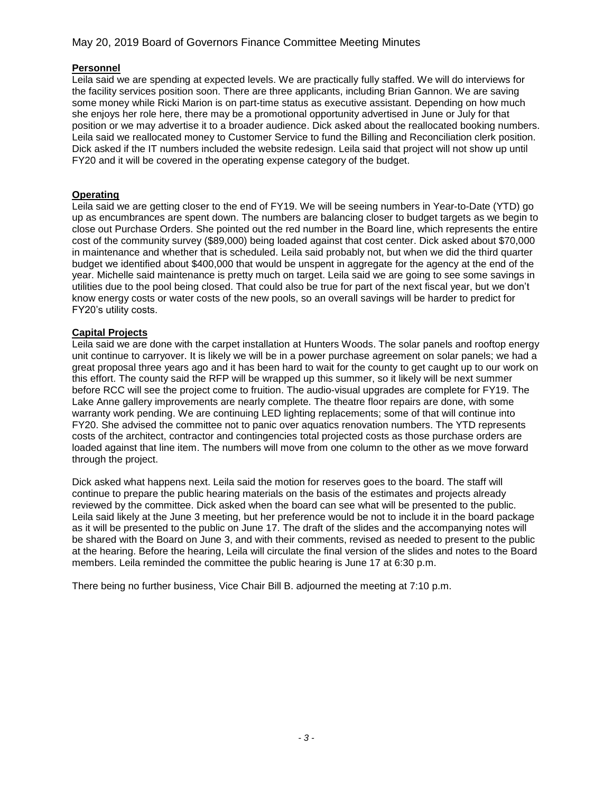# May 20, 2019 Board of Governors Finance Committee Meeting Minutes

## **Personnel**

Leila said we are spending at expected levels. We are practically fully staffed. We will do interviews for the facility services position soon. There are three applicants, including Brian Gannon. We are saving some money while Ricki Marion is on part-time status as executive assistant. Depending on how much she enjoys her role here, there may be a promotional opportunity advertised in June or July for that position or we may advertise it to a broader audience. Dick asked about the reallocated booking numbers. Leila said we reallocated money to Customer Service to fund the Billing and Reconciliation clerk position. Dick asked if the IT numbers included the website redesign. Leila said that project will not show up until FY20 and it will be covered in the operating expense category of the budget.

## **Operating**

Leila said we are getting closer to the end of FY19. We will be seeing numbers in Year-to-Date (YTD) go up as encumbrances are spent down. The numbers are balancing closer to budget targets as we begin to close out Purchase Orders. She pointed out the red number in the Board line, which represents the entire cost of the community survey (\$89,000) being loaded against that cost center. Dick asked about \$70,000 in maintenance and whether that is scheduled. Leila said probably not, but when we did the third quarter budget we identified about \$400,000 that would be unspent in aggregate for the agency at the end of the year. Michelle said maintenance is pretty much on target. Leila said we are going to see some savings in utilities due to the pool being closed. That could also be true for part of the next fiscal year, but we don't know energy costs or water costs of the new pools, so an overall savings will be harder to predict for FY20's utility costs.

## **Capital Projects**

Leila said we are done with the carpet installation at Hunters Woods. The solar panels and rooftop energy unit continue to carryover. It is likely we will be in a power purchase agreement on solar panels; we had a great proposal three years ago and it has been hard to wait for the county to get caught up to our work on this effort. The county said the RFP will be wrapped up this summer, so it likely will be next summer before RCC will see the project come to fruition. The audio-visual upgrades are complete for FY19. The Lake Anne gallery improvements are nearly complete. The theatre floor repairs are done, with some warranty work pending. We are continuing LED lighting replacements; some of that will continue into FY20. She advised the committee not to panic over aquatics renovation numbers. The YTD represents costs of the architect, contractor and contingencies total projected costs as those purchase orders are loaded against that line item. The numbers will move from one column to the other as we move forward through the project.

Dick asked what happens next. Leila said the motion for reserves goes to the board. The staff will continue to prepare the public hearing materials on the basis of the estimates and projects already reviewed by the committee. Dick asked when the board can see what will be presented to the public. Leila said likely at the June 3 meeting, but her preference would be not to include it in the board package as it will be presented to the public on June 17. The draft of the slides and the accompanying notes will be shared with the Board on June 3, and with their comments, revised as needed to present to the public at the hearing. Before the hearing, Leila will circulate the final version of the slides and notes to the Board members. Leila reminded the committee the public hearing is June 17 at 6:30 p.m.

There being no further business, Vice Chair Bill B. adjourned the meeting at 7:10 p.m.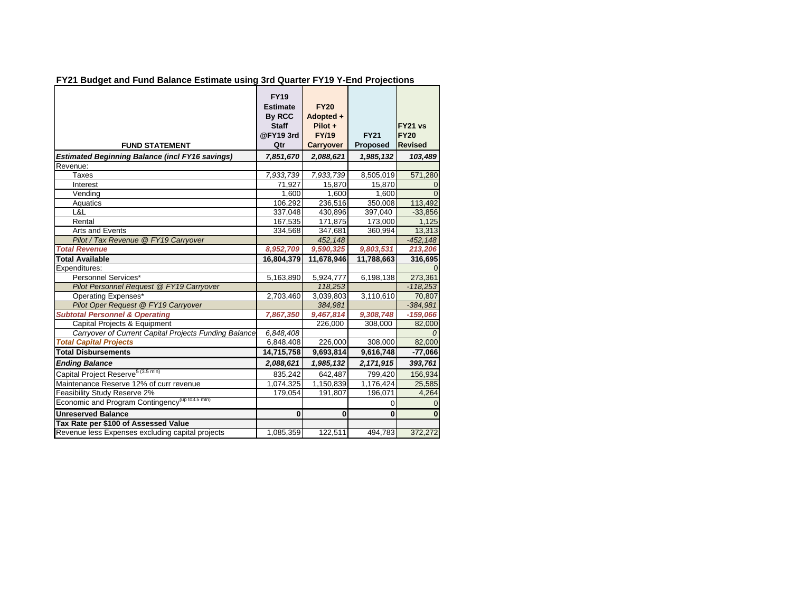|  |  | FY21 Budget and Fund Balance Estimate using 3rd Quarter FY19 Y-End Projections |
|--|--|--------------------------------------------------------------------------------|
|  |  |                                                                                |

|                                                             | <b>FY19</b><br><b>Estimate</b><br>By RCC | <b>FY20</b><br>Adopted + |                 |                |
|-------------------------------------------------------------|------------------------------------------|--------------------------|-----------------|----------------|
|                                                             | <b>Staff</b>                             | Pilot +                  |                 | FY21 vs        |
|                                                             | @FY19 3rd                                | <b>FY/19</b>             | <b>FY21</b>     | <b>FY20</b>    |
| <b>FUND STATEMENT</b>                                       | Qtr                                      | <b>Carryover</b>         | <b>Proposed</b> | <b>Revised</b> |
| <b>Estimated Beginning Balance (incl FY16 savings)</b>      | 7,851,670                                | 2,088,621                | 1,985,132       | 103,489        |
| Revenue:                                                    |                                          |                          |                 |                |
| <b>Taxes</b>                                                | 7.933.739                                | 7,933,739                | 8,505,019       | 571,280        |
| Interest                                                    | 71.927                                   | 15.870                   | 15,870          | $\Omega$       |
| Vending                                                     | 1,600                                    | 1,600                    | 1,600           | ∩              |
| Aquatics                                                    | 106,292                                  | 236,516                  | 350,008         | 113,492        |
| L&L                                                         | 337,048                                  | 430,896                  | 397,040         | $-33,856$      |
| Rental                                                      | 167,535                                  | 171,875                  | 173,000         | 1,125          |
| Arts and Events                                             | 334,568                                  | 347,681                  | 360,994         | 13,313         |
| Pilot / Tax Revenue @ FY19 Carryover                        |                                          | 452,148                  |                 | $-452, 148$    |
| <b>Total Revenue</b>                                        | 8,952,709                                | 9,590,325                | 9,803,531       | 213,206        |
| <b>Total Available</b>                                      | 16,804,379                               | 11,678,946               | 11,788,663      | 316,695        |
| Expenditures:                                               |                                          |                          |                 |                |
| Personnel Services*                                         | 5,163,890                                | 5,924,777                | 6,198,138       | 273,361        |
| Pilot Personnel Request @ FY19 Carryover                    |                                          | 118,253                  |                 | $-118,253$     |
| Operating Expenses*                                         | 2,703,460                                | 3,039,803                | 3,110,610       | 70,807         |
| Pilot Oper Request @ FY19 Carryover                         |                                          | 384,981                  |                 | $-384,981$     |
| <b>Subtotal Personnel &amp; Operating</b>                   | 7,867,350                                | 9,467,814                | 9,308,748       | $-159,066$     |
| Capital Projects & Equipment                                |                                          | 226,000                  | 308,000         | 82,000         |
| Carryover of Current Capital Projects Funding Balance       | 6,848,408                                |                          |                 |                |
| <b>Total Capital Projects</b>                               | 6,848,408                                | 226,000                  | 308,000         | 82,000         |
| <b>Total Disbursements</b>                                  | 14,715,758                               | 9,693,814                | 9,616,748       | $-77,066$      |
| <b>Ending Balance</b>                                       | 2,088,621                                | 1,985,132                | 2,171,915       | 393,761        |
| Capital Project Reserve <sup>5 (3.5 mln)</sup>              | 835,242                                  | 642,487                  | 799,420         | 156,934        |
| Maintenance Reserve 12% of curr revenue                     | 1,074,325                                | 1,150,839                | 1,176,424       | 25,585         |
| Feasibility Study Reserve 2%                                | 179,054                                  | 191,807                  | 196,071         | 4,264          |
| Economic and Program Contingency <sup>(up to 3.5 mln)</sup> |                                          |                          | 0               | $\mathbf 0$    |
| <b>Unreserved Balance</b>                                   | $\mathbf{0}$                             | 0                        | $\mathbf 0$     | $\bf{0}$       |
| Tax Rate per \$100 of Assessed Value                        |                                          |                          |                 |                |
| Revenue less Expenses excluding capital projects            | 1,085,359                                | 122,511                  | 494,783         | 372,272        |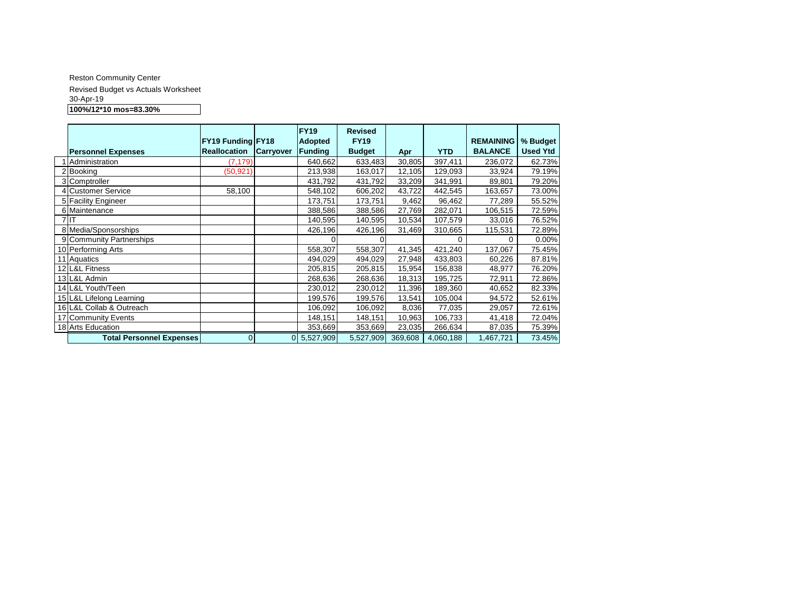#### Reston Community Center Revised Budget vs Actuals Worksheet 30-Apr-19 **100%/12\*10 mos=83.30%**

|                                 | FY19 Funding FY18 |                  | <b>FY19</b><br><b>Adopted</b> | <b>Revised</b><br><b>FY19</b> |         |            | <b>REMAINING</b> | % Budget        |
|---------------------------------|-------------------|------------------|-------------------------------|-------------------------------|---------|------------|------------------|-----------------|
| <b>Personnel Expenses</b>       | Reallocation      | <b>Carryover</b> | Funding                       | <b>Budget</b>                 | Apr     | <b>YTD</b> | <b>BALANCE</b>   | <b>Used Ytd</b> |
| Administration                  | (7, 179)          |                  | 640,662                       | 633,483                       | 30,805  | 397,411    | 236,072          | 62.73%          |
| 2 Booking                       | (50, 921)         |                  | 213,938                       | 163,017                       | 12,105  | 129,093    | 33,924           | 79.19%          |
| 3 Comptroller                   |                   |                  | 431,792                       | 431,792                       | 33,209  | 341,991    | 89,801           | 79.20%          |
| 4 Customer Service              | 58,100            |                  | 548,102                       | 606,202                       | 43,722  | 442,545    | 163,657          | 73.00%          |
| 5 Facility Engineer             |                   |                  | 173,751                       | 173,751                       | 9,462   | 96,462     | 77,289           | 55.52%          |
| 6 Maintenance                   |                   |                  | 388,586                       | 388,586                       | 27,769  | 282,071    | 106,515          | 72.59%          |
| $7$ IT                          |                   |                  | 140,595                       | 140,595                       | 10,534  | 107,579    | 33,016           | 76.52%          |
| 8 Media/Sponsorships            |                   |                  | 426,196                       | 426,196                       | 31,469  | 310,665    | 115,531          | 72.89%          |
| 9 Community Partnerships        |                   |                  |                               |                               |         | 0          | 0                | 0.00%           |
| 10 Performing Arts              |                   |                  | 558,307                       | 558,307                       | 41,345  | 421,240    | 137,067          | 75.45%          |
| 11 Aquatics                     |                   |                  | 494,029                       | 494,029                       | 27,948  | 433,803    | 60,226           | 87.81%          |
| 12 L&L Fitness                  |                   |                  | 205,815                       | 205,815                       | 15,954  | 156,838    | 48,977           | 76.20%          |
| 13 L&L Admin                    |                   |                  | 268,636                       | 268,636                       | 18,313  | 195,725    | 72,911           | 72.86%          |
| 14 L&L Youth/Teen               |                   |                  | 230,012                       | 230,012                       | 11,396  | 189,360    | 40,652           | 82.33%          |
| 15 L&L Lifelong Learning        |                   |                  | 199,576                       | 199,576                       | 13,541  | 105,004    | 94,572           | 52.61%          |
| 16 L&L Collab & Outreach        |                   |                  | 106,092                       | 106,092                       | 8,036   | 77,035     | 29,057           | 72.61%          |
| 17 Community Events             |                   |                  | 148,151                       | 148,151                       | 10,963  | 106,733    | 41,418           | 72.04%          |
| 18 Arts Education               |                   |                  | 353,669                       | 353,669                       | 23,035  | 266,634    | 87,035           | 75.39%          |
| <b>Total Personnel Expenses</b> | $\overline{0}$    |                  | 0 5,527,909                   | 5,527,909                     | 369,608 | 4,060,188  | 1,467,721        | 73.45%          |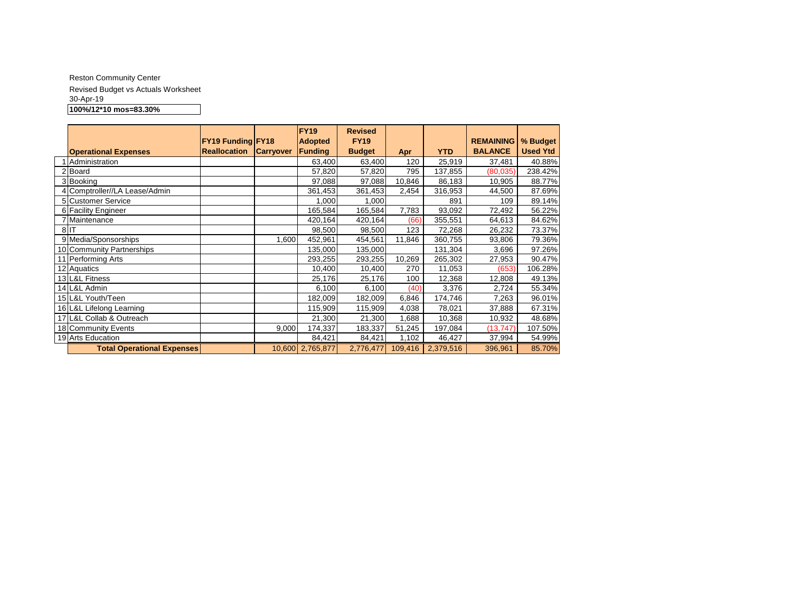#### Reston Community Center Revised Budget vs Actuals Worksheet 30-Apr-19 **100%/12\*10 mos=83.30%**

|                                   | <b>FY19 Funding FY18</b> |                  | FY <sub>19</sub><br><b>Adopted</b> | <b>Revised</b><br><b>FY19</b> |         |            | <b>REMAINING</b> | % Budget        |
|-----------------------------------|--------------------------|------------------|------------------------------------|-------------------------------|---------|------------|------------------|-----------------|
| <b>Operational Expenses</b>       | <b>Reallocation</b>      | <b>Carryover</b> | Funding                            | <b>Budget</b>                 | Apr     | <b>YTD</b> | <b>BALANCE</b>   | <b>Used Ytd</b> |
| 1 Administration                  |                          |                  | 63,400                             | 63,400                        | 120     | 25,919     | 37,481           | 40.88%          |
| 2 Board                           |                          |                  | 57,820                             | 57,820                        | 795     | 137,855    | (80, 035)        | 238.42%         |
| 3 Booking                         |                          |                  | 97,088                             | 97,088                        | 10,846  | 86,183     | 10,905           | 88.77%          |
| 4 Comptroller//LA Lease/Admin     |                          |                  | 361,453                            | 361,453                       | 2,454   | 316,953    | 44,500           | 87.69%          |
| 5 Customer Service                |                          |                  | 1,000                              | 1,000                         |         | 891        | 109              | 89.14%          |
| 6 Facility Engineer               |                          |                  | 165,584                            | 165,584                       | 7,783   | 93,092     | 72,492           | 56.22%          |
| 7 Maintenance                     |                          |                  | 420,164                            | 420,164                       | (66)    | 355,551    | 64,613           | 84.62%          |
| 8 <sub>IT</sub>                   |                          |                  | 98,500                             | 98,500                        | 123     | 72,268     | 26,232           | 73.37%          |
| 9 Media/Sponsorships              |                          | 1,600            | 452,961                            | 454,561                       | 11,846  | 360,755    | 93,806           | 79.36%          |
| 10 Community Partnerships         |                          |                  | 135,000                            | 135,000                       |         | 131,304    | 3,696            | 97.26%          |
| 11 Performing Arts                |                          |                  | 293,255                            | 293,255                       | 10,269  | 265,302    | 27,953           | 90.47%          |
| 12 Aquatics                       |                          |                  | 10,400                             | 10,400                        | 270     | 11,053     | (653)            | 106.28%         |
| 13 L&L Fitness                    |                          |                  | 25,176                             | 25,176                        | 100     | 12,368     | 12,808           | 49.13%          |
| 14 L&L Admin                      |                          |                  | 6,100                              | 6,100                         | (40)    | 3,376      | 2,724            | 55.34%          |
| 15 L&L Youth/Teen                 |                          |                  | 182,009                            | 182,009                       | 6,846   | 174,746    | 7,263            | 96.01%          |
| 16 L&L Lifelong Learning          |                          |                  | 115,909                            | 115,909                       | 4,038   | 78,021     | 37,888           | 67.31%          |
| 17 L&L Collab & Outreach          |                          |                  | 21,300                             | 21,300                        | 1,688   | 10,368     | 10,932           | 48.68%          |
| 18 Community Events               |                          | 9,000            | 174,337                            | 183,337                       | 51,245  | 197,084    | (13, 747)        | 107.50%         |
| 19 Arts Education                 |                          |                  | 84,421                             | 84,421                        | 1,102   | 46,427     | 37,994           | 54.99%          |
| <b>Total Operational Expenses</b> |                          |                  | 10,600 2,765,877                   | 2,776,477                     | 109,416 | 2,379,516  | 396,961          | 85.70%          |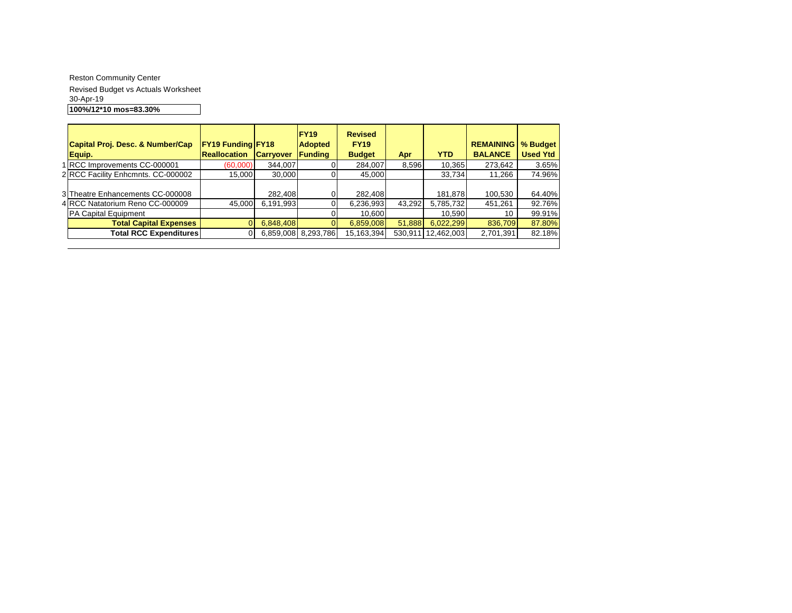Reston Community Center Revised Budget vs Actuals Worksheet 30-Apr-19 **100%/12\*10 mos=83.30%**

| Capital Proj. Desc. & Number/Cap<br>Equip.                          | <b>FY19 Funding FY18</b><br><b>Reallocation</b> | <b>Carryover</b>     | <b>FY19</b><br><b>Adopted</b><br><b>Funding</b> | <b>Revised</b><br><b>FY19</b><br><b>Budget</b> | Apr     | <b>YTD</b>           | <b>REMAINING</b><br><b>BALANCE</b> | % Budget<br><b>Used Ytd</b> |
|---------------------------------------------------------------------|-------------------------------------------------|----------------------|-------------------------------------------------|------------------------------------------------|---------|----------------------|------------------------------------|-----------------------------|
| 1 RCC Improvements CC-000001                                        | (60,000)                                        | 344,007              |                                                 | 284,007                                        | 8,596   | 10.365               | 273,642                            | 3.65%                       |
| 2 RCC Facility Enhcmnts. CC-000002                                  | 15.000                                          | 30,000               | 01                                              | 45,000                                         |         | 33.734               | 11.266                             | 74.96%                      |
| 3 Theatre Enhancements CC-000008<br>4 RCC Natatorium Reno CC-000009 | 45,000                                          | 282,408<br>6,191,993 | 0                                               | 282,408<br>6,236,993                           | 43,292  | 181.878<br>5,785,732 | 100,530<br>451,261                 | 64.40%<br>92.76%            |
| PA Capital Equipment                                                |                                                 |                      |                                                 | 10,600                                         |         | 10,590               | 10                                 | 99.91%                      |
| <b>Total Capital Expenses</b>                                       |                                                 | 6,848,408            | $\Omega$                                        | 6,859,008                                      | 51,888  | 6,022,299            | 836,709                            | 87.80%                      |
| <b>Total RCC Expenditures</b>                                       | 0                                               | 6,859,008            | 8,293,786                                       | 15,163,394                                     | 530,911 | 12,462,003           | 2,701,391                          | 82.18%                      |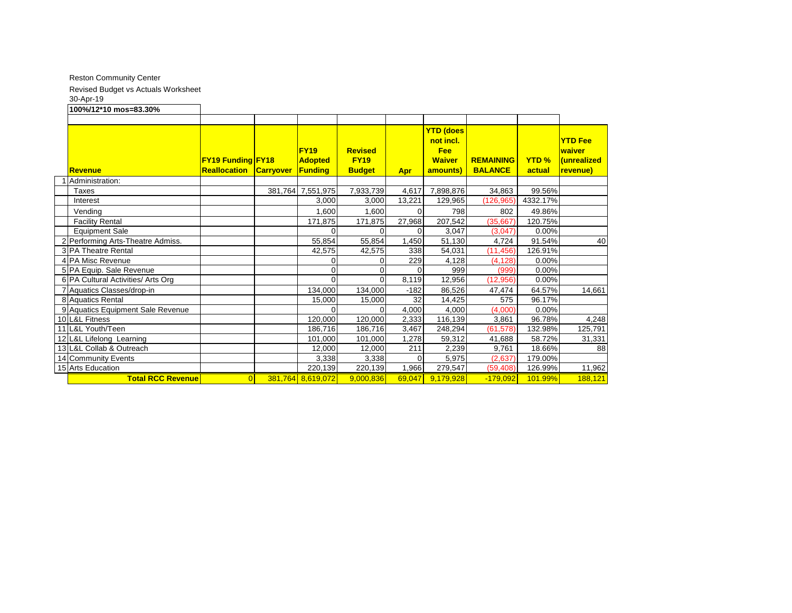Reston Community Center

Revised Budget vs Actuals Worksheet

30-Apr-19

**100%/12\*10 mos=83.30% Revenue FY19 Funding FY18 Reallocation Carryover FY19 Adopted Funding Revised FY19 Budget Apr YTD (does not incl. Fee Waiver amounts) REMAINING BALANCE YTD % actual YTD Fee waiver (unrealized revenue)** 1 Administration: Taxes 381,764 7,551,975 7,933,739 4,617 7,898,876 34,863 99.56% Interest 3,000 3,000 13,221 129,965 (126,965) 4332.17% Vending 1,600 1,600 0 798 802 49.86% Vending 1,600 0 798 802 49.86% Facility Rental 171,875 171,875 27,968 207,542 (35,667) 120.75% Equipment Sale 0 0 0 3,047 (3,047) 0.00% 2 Performing Arts-Theatre Admiss. 55,854 55,854 1,450 51,130 4,724 91.54% 40 3 PA Theatre Rental 42,575 42,575 338 54,031 (11,456) 126.91% 4 PA Misc Revenue 200 229 229 4,128 (4,128) 0.00% 5 PA Equip. Sale Revenue **1** 1 0 0 0 999 (999) 0.00% 6 PA Cultural Activities/ Arts Org 0 0 8,119 12,956 (12,956) 0.00% 7 Aquatics Classes/drop-in 134,000 134,000 -182 86,526 47,474 64.57% 14,661 8 Aquatics Rental 15,000 15,000 15,000 14,425 575 9 Aquatics Equipment Sale Revenue 0 0 4,000 4,000 (4,000) 0.00% 10 L&L Fitness 120,000 120,000 2,333 116,139 3,861 96.78% 4,248 11 L&L Youth/Teen 186,716 | 186,716 | 186,716 | 186,716 | 3,467 | 248,294 | (61,578) 132.98% | 125,791 12 L&L Lifelong Learning 101,000 101,000 101,000 101,000 1,278 59,312 41,688 58.72% 31,331 13 L&L Collab & Outreach 12,000 12,000 211 2,239 9,761 18.66% 88 14 Community Events 1.1 2.637 | 2.637 | 3,338 3,338 | 3,338 | 5,975 | 3,975 | 2,637 | 179.00% 15 Arts Education 220,139 220,139 1,966 279,547 (59,408) 126.99% 11,962 **Total RCC Revenue 188,121** 0 381,764 8,619,072 9,000,836 69,047 9,179,928 -179,092 101.99% 188,121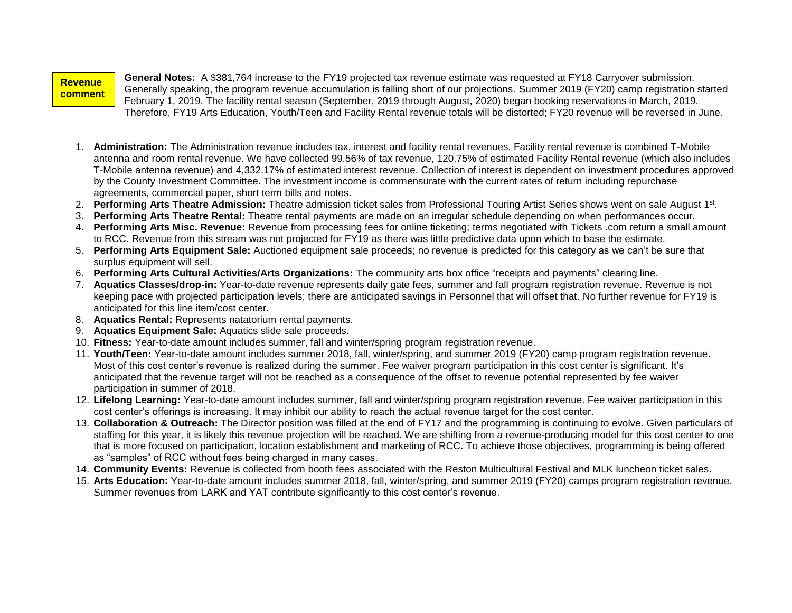**Revenue comment**

**s:**

**General Notes:** A \$381,764 increase to the FY19 projected tax revenue estimate was requested at FY18 Carryover submission. Generally speaking, the program revenue accumulation is falling short of our projections. Summer 2019 (FY20) camp registration started February 1, 2019. The facility rental season (September, 2019 through August, 2020) began booking reservations in March, 2019. Therefore, FY19 Arts Education, Youth/Teen and Facility Rental revenue totals will be distorted; FY20 revenue will be reversed in June.

- 1. **Administration:** The Administration revenue includes tax, interest and facility rental revenues. Facility rental revenue is combined T-Mobile antenna and room rental revenue. We have collected 99.56% of tax revenue, 120.75% of estimated Facility Rental revenue (which also includes T-Mobile antenna revenue) and 4,332.17% of estimated interest revenue. Collection of interest is dependent on investment procedures approved by the County Investment Committee. The investment income is commensurate with the current rates of return including repurchase agreements, commercial paper, short term bills and notes.
- 2. **Performing Arts Theatre Admission:** Theatre admission ticket sales from Professional Touring Artist Series shows went on sale August 1st .
- 3. **Performing Arts Theatre Rental:** Theatre rental payments are made on an irregular schedule depending on when performances occur.
- 4. **Performing Arts Misc. Revenue:** Revenue from processing fees for online ticketing; terms negotiated with Tickets .com return a small amount to RCC. Revenue from this stream was not projected for FY19 as there was little predictive data upon which to base the estimate.
- 5. **Performing Arts Equipment Sale:** Auctioned equipment sale proceeds; no revenue is predicted for this category as we can't be sure that surplus equipment will sell.
- 6. **Performing Arts Cultural Activities/Arts Organizations:** The community arts box office "receipts and payments" clearing line.
- 7. **Aquatics Classes/drop-in:** Year-to-date revenue represents daily gate fees, summer and fall program registration revenue. Revenue is not keeping pace with projected participation levels; there are anticipated savings in Personnel that will offset that. No further revenue for FY19 is anticipated for this line item/cost center.
- 8. **Aquatics Rental:** Represents natatorium rental payments.
- 9. **Aquatics Equipment Sale:** Aquatics slide sale proceeds.
- 10. **Fitness:** Year-to-date amount includes summer, fall and winter/spring program registration revenue.
- 11. **Youth/Teen:** Year-to-date amount includes summer 2018, fall, winter/spring, and summer 2019 (FY20) camp program registration revenue. Most of this cost center's revenue is realized during the summer. Fee waiver program participation in this cost center is significant. It's anticipated that the revenue target will not be reached as a consequence of the offset to revenue potential represented by fee waiver participation in summer of 2018.
- 12. **Lifelong Learning:** Year-to-date amount includes summer, fall and winter/spring program registration revenue. Fee waiver participation in this cost center's offerings is increasing. It may inhibit our ability to reach the actual revenue target for the cost center.
- 13. **Collaboration & Outreach:** The Director position was filled at the end of FY17 and the programming is continuing to evolve. Given particulars of staffing for this year, it is likely this revenue projection will be reached. We are shifting from a revenue-producing model for this cost center to one that is more focused on participation, location establishment and marketing of RCC. To achieve those objectives, programming is being offered as "samples" of RCC without fees being charged in many cases.
- 14. **Community Events:** Revenue is collected from booth fees associated with the Reston Multicultural Festival and MLK luncheon ticket sales.
- 15. **Arts Education:** Year-to-date amount includes summer 2018, fall, winter/spring, and summer 2019 (FY20) camps program registration revenue. Summer revenues from LARK and YAT contribute significantly to this cost center's revenue.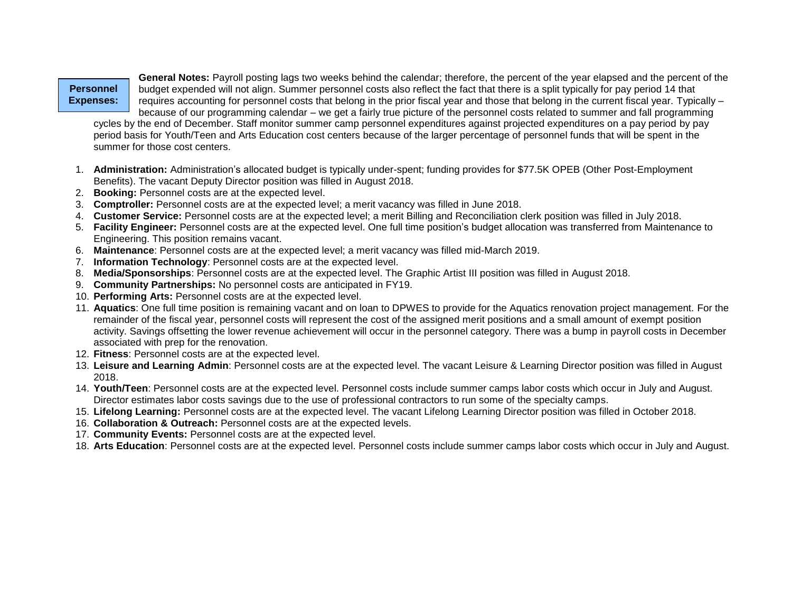#### **Personnel Expenses:**

**General Notes:** Payroll posting lags two weeks behind the calendar; therefore, the percent of the year elapsed and the percent of the budget expended will not align. Summer personnel costs also reflect the fact that there is a split typically for pay period 14 that requires accounting for personnel costs that belong in the prior fiscal year and those that belong in the current fiscal year. Typically – because of our programming calendar – we get a fairly true picture of the personnel costs related to summer and fall programming

cycles by the end of December. Staff monitor summer camp personnel expenditures against projected expenditures on a pay period by pay period basis for Youth/Teen and Arts Education cost centers because of the larger percentage of personnel funds that will be spent in the summer for those cost centers.

- 1. **Administration:** Administration's allocated budget is typically under-spent; funding provides for \$77.5K OPEB (Other Post-Employment Benefits). The vacant Deputy Director position was filled in August 2018.
- 2. **Booking:** Personnel costs are at the expected level.
- 3. **Comptroller:** Personnel costs are at the expected level; a merit vacancy was filled in June 2018.
- 4. **Customer Service:** Personnel costs are at the expected level; a merit Billing and Reconciliation clerk position was filled in July 2018.
- 5. **Facility Engineer:** Personnel costs are at the expected level. One full time position's budget allocation was transferred from Maintenance to Engineering. This position remains vacant.
- 6. **Maintenance**: Personnel costs are at the expected level; a merit vacancy was filled mid-March 2019.
- 7. **Information Technology**: Personnel costs are at the expected level.
- 8. **Media/Sponsorships**: Personnel costs are at the expected level. The Graphic Artist III position was filled in August 2018.
- 9. **Community Partnerships:** No personnel costs are anticipated in FY19.
- 10. **Performing Arts:** Personnel costs are at the expected level.
- 11. **Aquatics**: One full time position is remaining vacant and on loan to DPWES to provide for the Aquatics renovation project management. For the remainder of the fiscal year, personnel costs will represent the cost of the assigned merit positions and a small amount of exempt position activity. Savings offsetting the lower revenue achievement will occur in the personnel category. There was a bump in payroll costs in December associated with prep for the renovation.
- 12. **Fitness**: Personnel costs are at the expected level.
- 13. **Leisure and Learning Admin**: Personnel costs are at the expected level. The vacant Leisure & Learning Director position was filled in August 2018.
- 14. **Youth/Teen**: Personnel costs are at the expected level. Personnel costs include summer camps labor costs which occur in July and August. Director estimates labor costs savings due to the use of professional contractors to run some of the specialty camps.
- 15. **Lifelong Learning:** Personnel costs are at the expected level. The vacant Lifelong Learning Director position was filled in October 2018.
- 16. **Collaboration & Outreach:** Personnel costs are at the expected levels.
- 17. **Community Events:** Personnel costs are at the expected level.
- 18. **Arts Education**: Personnel costs are at the expected level. Personnel costs include summer camps labor costs which occur in July and August.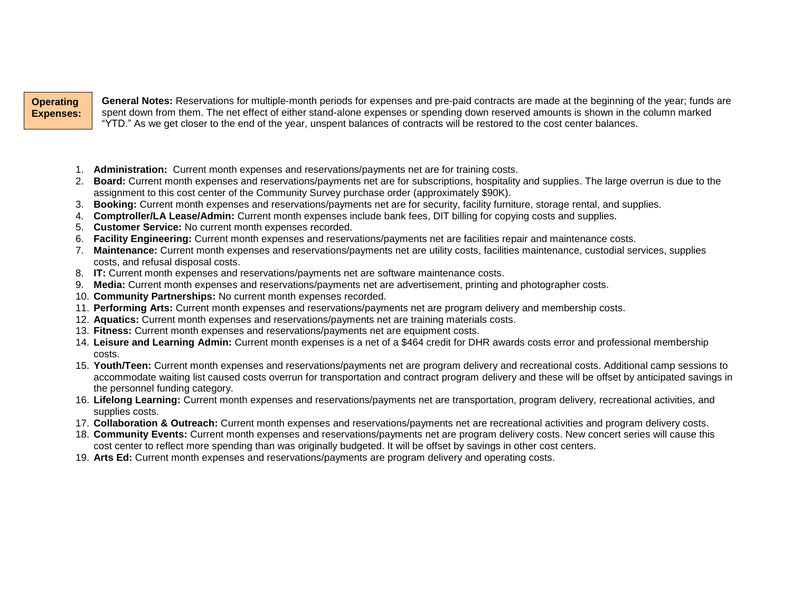#### **Operating Expenses:**

**General Notes:** Reservations for multiple-month periods for expenses and pre-paid contracts are made at the beginning of the year; funds are spent down from them. The net effect of either stand-alone expenses or spending down reserved amounts is shown in the column marked "YTD." As we get closer to the end of the year, unspent balances of contracts will be restored to the cost center balances.

- 1. **Administration:** Current month expenses and reservations/payments net are for training costs.
- 2. **Board:** Current month expenses and reservations/payments net are for subscriptions, hospitality and supplies. The large overrun is due to the assignment to this cost center of the Community Survey purchase order (approximately \$90K).
- 3. **Booking:** Current month expenses and reservations/payments net are for security, facility furniture, storage rental, and supplies.
- 4. **Comptroller/LA Lease/Admin:** Current month expenses include bank fees, DIT billing for copying costs and supplies.
- 5. **Customer Service:** No current month expenses recorded.
- 6. **Facility Engineering:** Current month expenses and reservations/payments net are facilities repair and maintenance costs.
- 7. **Maintenance:** Current month expenses and reservations/payments net are utility costs, facilities maintenance, custodial services, supplies costs, and refusal disposal costs.
- 8. **IT:** Current month expenses and reservations/payments net are software maintenance costs.
- 9. **Media:** Current month expenses and reservations/payments net are advertisement, printing and photographer costs.
- 10. **Community Partnerships:** No current month expenses recorded.
- 11. **Performing Arts:** Current month expenses and reservations/payments net are program delivery and membership costs.
- 12. **Aquatics:** Current month expenses and reservations/payments net are training materials costs.
- 13. **Fitness:** Current month expenses and reservations/payments net are equipment costs.
- 14. **Leisure and Learning Admin:** Current month expenses is a net of a \$464 credit for DHR awards costs error and professional membership costs.
- 15. **Youth/Teen:** Current month expenses and reservations/payments net are program delivery and recreational costs. Additional camp sessions to accommodate waiting list caused costs overrun for transportation and contract program delivery and these will be offset by anticipated savings in the personnel funding category.
- 16. **Lifelong Learning:** Current month expenses and reservations/payments net are transportation, program delivery, recreational activities, and supplies costs.
- 17. **Collaboration & Outreach:** Current month expenses and reservations/payments net are recreational activities and program delivery costs.
- 18. **Community Events:** Current month expenses and reservations/payments net are program delivery costs. New concert series will cause this cost center to reflect more spending than was originally budgeted. It will be offset by savings in other cost centers.
- 19. **Arts Ed:** Current month expenses and reservations/payments are program delivery and operating costs.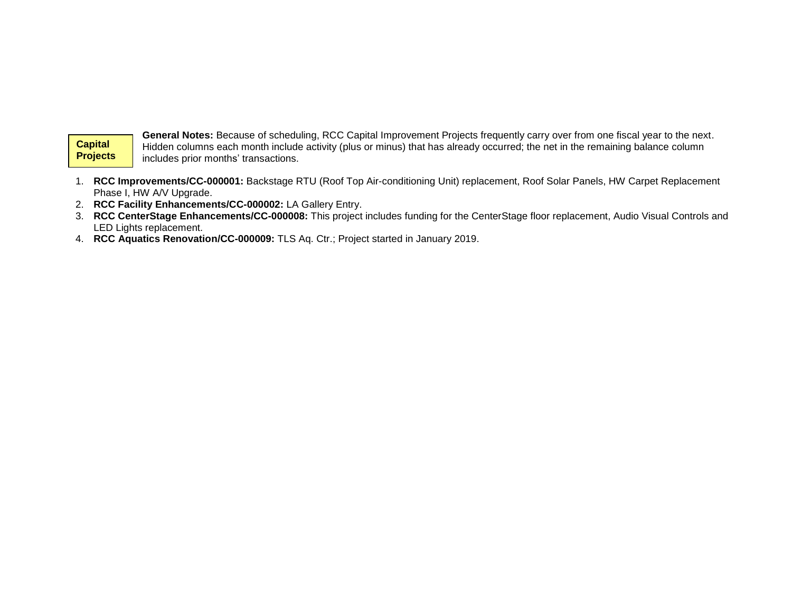## **Capital Projects**

**Experience** 

General Notes: Because of scheduling, RCC Capital Improvement Projects frequently carry over from one fiscal year to the next. Hidden columns each month include activity (plus or minus) that has already occurred; the net in the remaining balance column includes prior months' transactions.

- 1. **RCC Improvements/CC-000001:** Backstage RTU (Roof Top Air-conditioning Unit) replacement, Roof Solar Panels, HW Carpet Replacement Phase I, HW A/V Upgrade.
- 2. **RCC Facility Enhancements/CC-000002:** LA Gallery Entry.
- 3. **RCC CenterStage Enhancements/CC-000008:** This project includes funding for the CenterStage floor replacement, Audio Visual Controls and LED Lights replacement.
- 4. **RCC Aquatics Renovation/CC-000009:** TLS Aq. Ctr.; Project started in January 2019.